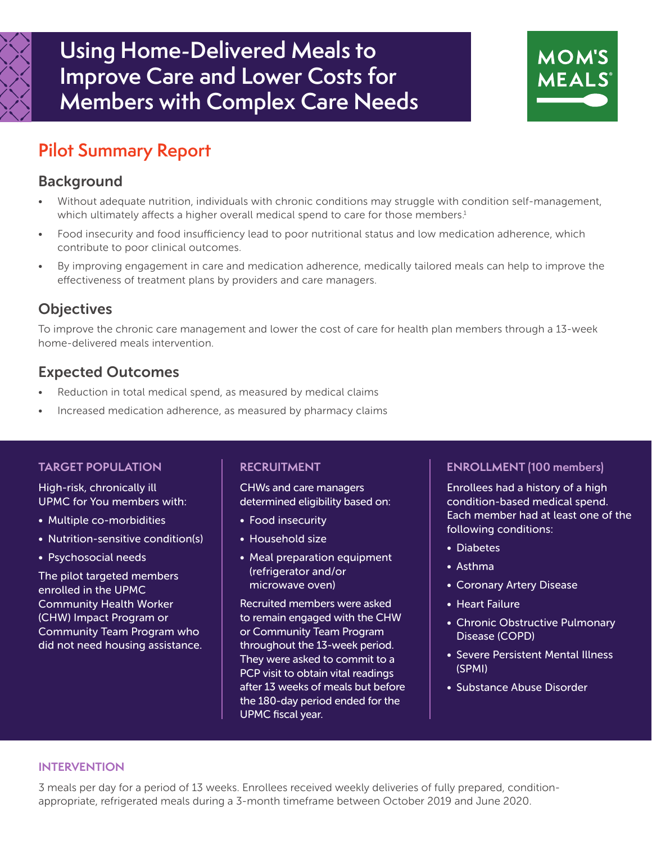

# **Using Home-Delivered Meals to Improve Care and Lower Costs for Members with Complex Care Needs**



# **Pilot Summary Report**

## Background

- Without adequate nutrition, individuals with chronic conditions may struggle with condition self-management, which ultimately affects a higher overall medical spend to care for those members.<sup>1</sup>
- Food insecurity and food insufficiency lead to poor nutritional status and low medication adherence, which contribute to poor clinical outcomes.
- By improving engagement in care and medication adherence, medically tailored meals can help to improve the effectiveness of treatment plans by providers and care managers.

# **Objectives**

To improve the chronic care management and lower the cost of care for health plan members through a 13-week home-delivered meals intervention.

## Expected Outcomes

- Reduction in total medical spend, as measured by medical claims
- Increased medication adherence, as measured by pharmacy claims

#### **TARGET POPULATION**

High-risk, chronically ill UPMC for You members with:

- Multiple co-morbidities
- Nutrition-sensitive condition(s)
- Psychosocial needs

The pilot targeted members enrolled in the UPMC Community Health Worker (CHW) Impact Program or Community Team Program who did not need housing assistance.

#### **RECRUITMENT**

CHWs and care managers determined eligibility based on:

- Food insecurity
- Household size
- Meal preparation equipment (refrigerator and/or microwave oven)

Recruited members were asked to remain engaged with the CHW or Community Team Program throughout the 13-week period. They were asked to commit to a PCP visit to obtain vital readings after 13 weeks of meals but before the 180-day period ended for the UPMC fiscal year.

### **ENROLLMENT (100 members)**

Enrollees had a history of a high condition-based medical spend. Each member had at least one of the following conditions:

- Diabetes
- Asthma
- Coronary Artery Disease
- Heart Failure
- Chronic Obstructive Pulmonary Disease (COPD)
- Severe Persistent Mental Illness (SPMI)
- Substance Abuse Disorder

#### **INTERVENTION**

3 meals per day for a period of 13 weeks. Enrollees received weekly deliveries of fully prepared, conditionappropriate, refrigerated meals during a 3-month timeframe between October 2019 and June 2020.